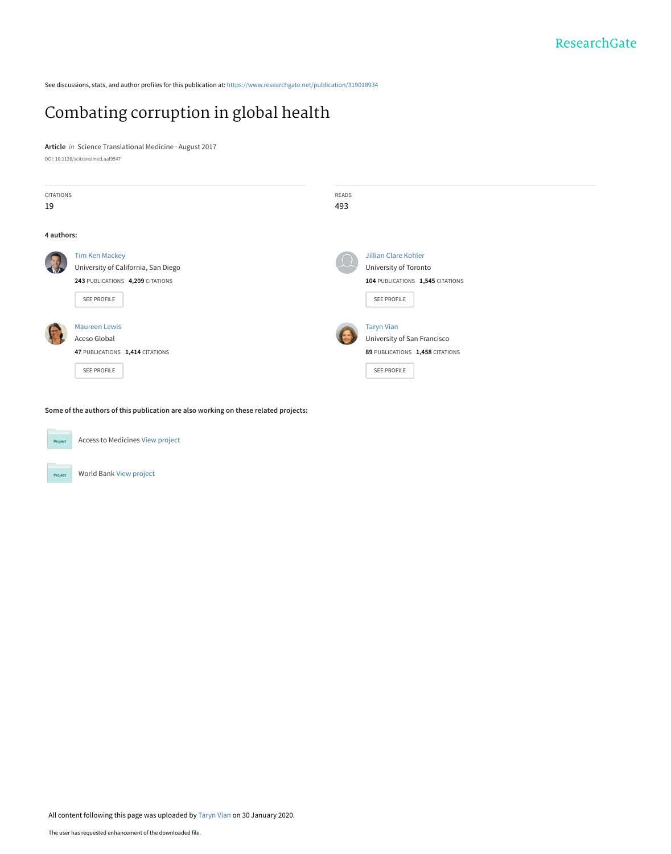See discussions, stats, and author profiles for this publication at: [https://www.researchgate.net/publication/319018934](https://www.researchgate.net/publication/319018934_Combating_corruption_in_global_health?enrichId=rgreq-0b8142cdb397e88f757b1ef44d1d8aab-XXX&enrichSource=Y292ZXJQYWdlOzMxOTAxODkzNDtBUzo4NTMxOTAwODE3ODU4NThAMTU4MDQyNzc3NTkyMg%3D%3D&el=1_x_2&_esc=publicationCoverPdf)

## [Combating corruption in global health](https://www.researchgate.net/publication/319018934_Combating_corruption_in_global_health?enrichId=rgreq-0b8142cdb397e88f757b1ef44d1d8aab-XXX&enrichSource=Y292ZXJQYWdlOzMxOTAxODkzNDtBUzo4NTMxOTAwODE3ODU4NThAMTU4MDQyNzc3NTkyMg%3D%3D&el=1_x_3&_esc=publicationCoverPdf)

**Article** in Science Translational Medicine · August 2017 DOI: 10.1126/scitranslmed.aaf9547

|                                                                                                                 | READS |                                                                                                           |
|-----------------------------------------------------------------------------------------------------------------|-------|-----------------------------------------------------------------------------------------------------------|
|                                                                                                                 | 493   |                                                                                                           |
|                                                                                                                 |       |                                                                                                           |
|                                                                                                                 |       |                                                                                                           |
| <b>Tim Ken Mackey</b><br>University of California, San Diego<br>243 PUBLICATIONS 4,209 CITATIONS<br>SEE PROFILE |       | Jillian Clare Kohler<br>University of Toronto<br>104 PUBLICATIONS 1,545 CITATIONS<br>SEE PROFILE          |
| <b>Maureen Lewis</b><br>Aceso Global<br>47 PUBLICATIONS 1,414 CITATIONS<br>SEE PROFILE                          |       | <b>Taryn Vian</b><br>University of San Francisco<br>89 PUBLICATIONS 1,458 CITATIONS<br><b>SEE PROFILE</b> |
|                                                                                                                 |       |                                                                                                           |

**Some of the authors of this publication are also working on these related projects:**



Project

Access to Medicines [View project](https://www.researchgate.net/project/Access-to-Medicines?enrichId=rgreq-0b8142cdb397e88f757b1ef44d1d8aab-XXX&enrichSource=Y292ZXJQYWdlOzMxOTAxODkzNDtBUzo4NTMxOTAwODE3ODU4NThAMTU4MDQyNzc3NTkyMg%3D%3D&el=1_x_9&_esc=publicationCoverPdf)

World Bank [View project](https://www.researchgate.net/project/World-Bank-3?enrichId=rgreq-0b8142cdb397e88f757b1ef44d1d8aab-XXX&enrichSource=Y292ZXJQYWdlOzMxOTAxODkzNDtBUzo4NTMxOTAwODE3ODU4NThAMTU4MDQyNzc3NTkyMg%3D%3D&el=1_x_9&_esc=publicationCoverPdf)

All content following this page was uploaded by [Taryn Vian](https://www.researchgate.net/profile/Taryn-Vian?enrichId=rgreq-0b8142cdb397e88f757b1ef44d1d8aab-XXX&enrichSource=Y292ZXJQYWdlOzMxOTAxODkzNDtBUzo4NTMxOTAwODE3ODU4NThAMTU4MDQyNzc3NTkyMg%3D%3D&el=1_x_10&_esc=publicationCoverPdf) on 30 January 2020.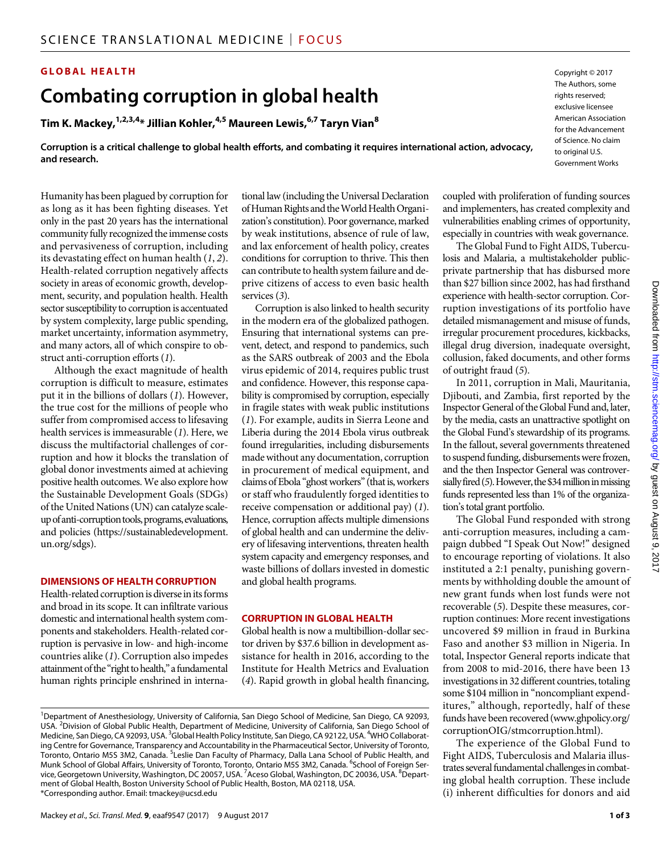### **GLOBAL HEALTH**

## **Combating corruption in global health**

Tim K. Mackey,<sup>1,2,3,4</sup>\* Jillian Kohler,<sup>4,5</sup> Maureen Lewis,<sup>6,7</sup> Taryn Vian<sup>8</sup>

Copyright © 2017 The Authors, some rights reserved; exclusive licensee American Association for the Advancement of Science. No claim to original U.S. Government Works

**Corruption is a critical challenge to global health efforts, and combating it requires international action, advocacy, and research.**

Humanity has been plagued by corruption for as long as it has been fighting diseases. Yet only in the past 20 years has the international community fully recognized the immense costs and pervasiveness of corruption, including its devastating effect on human health (*1*, *2*). Health-related corruption negatively affects society in areas of economic growth, development, security, and population health. Health sector susceptibility to corruption is accentuated by system complexity, large public spending, market uncertainty, information asymmetry, and many actors, all of which conspire to obstruct anti-corruption efforts (*1*).

Although the exact magnitude of health corruption is difficult to measure, estimates put it in the billions of dollars (*1*). However, the true cost for the millions of people who suffer from compromised access to lifesaving health services is immeasurable (*1*). Here, we discuss the multifactorial challenges of corruption and how it blocks the translation of global donor investments aimed at achieving positive health outcomes. We also explore how the Sustainable Development Goals (SDGs) of the United Nations (UN) can catalyze scaleup of anti-corruption tools, programs, evaluations, and policies [\(https://sustainabledevelopment.](https://sustainabledevelopment.un.org/sdgs) [un.org/sdgs\)](https://sustainabledevelopment.un.org/sdgs).

#### **DIMENSIONS OF HEALTH CORRUPTION**

Health-related corruption is diverse in its forms and broad in its scope. It can infiltrate various domestic and international health system components and stakeholders. Health-related corruption is pervasive in low- and high-income countries alike (*1*). Corruption also impedes attainment of the "right to health," a fundamental human rights principle enshrined in international law (including the Universal Declaration of Human Rights and the World Health Organization's constitution). Poor governance, marked by weak institutions, absence of rule of law, and lax enforcement of health policy, creates conditions for corruption to thrive. This then can contribute to health system failure and deprive citizens of access to even basic health services (*3*).

Corruption is also linked to health security in the modern era of the globalized pathogen. Ensuring that international systems can prevent, detect, and respond to pandemics, such as the SARS outbreak of 2003 and the Ebola virus epidemic of 2014, requires public trust and confidence. However, this response capability is compromised by corruption, especially in fragile states with weak public institutions (*1*). For example, audits in Sierra Leone and Liberia during the 2014 Ebola virus outbreak found irregularities, including disbursements made without any documentation, corruption in procurement of medical equipment, and claims of Ebola "ghost workers" (that is, workers or staff who fraudulently forged identities to receive compensation or additional pay) (*1*). Hence, corruption affects multiple dimensions of global health and can undermine the delivery of lifesaving interventions, threaten health system capacity and emergency responses, and waste billions of dollars invested in domestic and global health programs.

#### **CORRUPTION IN GLOBAL HEALTH**

Global health is now a multibillion-dollar sector driven by \$37.6 billion in development assistance for health in 2016, according to the Institute for Health Metrics and Evaluation (*4*). Rapid growth in global health financing, coupled with proliferation of funding sources and implementers, has created complexity and vulnerabilities enabling crimes of opportunity, especially in countries with weak governance.

The Global Fund to Fight AIDS, Tuberculosis and Malaria, a multistakeholder publicprivate partnership that has disbursed more than \$27 billion since 2002, has had firsthand experience with health-sector corruption. Corruption investigations of its portfolio have detailed mismanagement and misuse of funds, irregular procurement procedures, kickbacks, illegal drug diversion, inadequate oversight, collusion, faked documents, and other forms of outright fraud (*5*).

In 2011, corruption in Mali, Mauritania, Djibouti, and Zambia, first reported by the Inspector General of the Global Fund and, later, by the media, casts an unattractive spotlight on the Global Fund's stewardship of its programs. In the fallout, several governments threatened to suspend funding, disbursements were frozen, and the then Inspector General was controversially fired (*5*). However, the \$34 million in missing funds represented less than 1% of the organization's total grant portfolio.

The Global Fund responded with strong anti-corruption measures, including a campaign dubbed "I Speak Out Now!" designed to encourage reporting of violations. It also instituted a 2:1 penalty, punishing governments by withholding double the amount of new grant funds when lost funds were not recoverable (*5*). Despite these measures, corruption continues: More recent investigations uncovered \$9 million in fraud in Burkina Faso and another \$3 million in Nigeria. In total, Inspector General reports indicate that from 2008 to mid-2016, there have been 13 investigations in 32 different countries, totaling some \$104 million in "noncompliant expenditures," although, reportedly, half of these funds have been recovered [\(www.ghpolicy.org/](http://www.ghpolicy.org/corruptionOIG/stmcorruption.html) [corruptionOIG/stmcorruption.html\)](http://www.ghpolicy.org/corruptionOIG/stmcorruption.html).

The experience of the Global Fund to Fight AIDS, Tuberculosis and Malaria illustrates several fundamental challenges in combating global health corruption. These include (i) inherent difficulties for donors and aid

<sup>&</sup>lt;sup>1</sup>Department of Anesthesiology, University of California, San Diego School of Medicine, San Diego, CA 92093, USA. <sup>2</sup> Division of Global Public Health, Department of Medicine, University of California, San Diego School of Medicine, San Diego, CA 92093, USA. <sup>3</sup>Global Health Policy Institute, San Diego, CA 92122, USA. <sup>4</sup>WHO Collaborating Centre for Governance, Transparency and Accountability in the Pharmaceutical Sector, University of Toronto, Toronto, Ontario M5S 3M2, Canada. <sup>5</sup>Leslie Dan Faculty of Pharmacy, Dalla Lana School of Public Health, and Munk School of Global Affairs, University of Toronto, Toronto, Ontario M5S 3M2, Canada. <sup>6</sup>School of Foreign Service, Georgetown University, Washington, DC 20057, USA. <sup>7</sup>Aceso Global, Washington, DC 20036, USA. <sup>8</sup>Department of Global Health, Boston University School of Public Health, Boston, MA 02118, USA. \*Corresponding author. Email: tmackey@ucsd.edu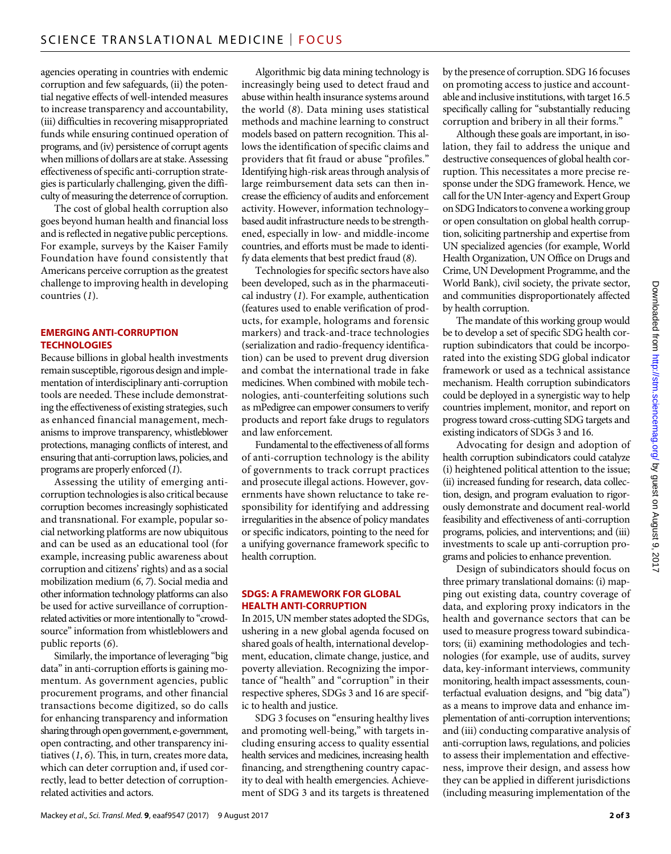agencies operating in countries with endemic corruption and few safeguards, (ii) the potential negative effects of well-intended measures to increase transparency and accountability, (iii) difficulties in recovering misappropriated funds while ensuring continued operation of programs, and (iv) persistence of corrupt agents when millions of dollars are at stake. Assessing effectiveness of specific anti-corruption strategies is particularly challenging, given the difficulty of measuring the deterrence of corruption.

The cost of global health corruption also goes beyond human health and financial loss and is reflected in negative public perceptions. For example, surveys by the Kaiser Family Foundation have found consistently that Americans perceive corruption as the greatest challenge to improving health in developing countries (*1*).

#### **EMERGING ANTI-CORRUPTION TECHNOLOGIES**

Because billions in global health investments remain susceptible, rigorous design and implementation of interdisciplinary anti-corruption tools are needed. These include demonstrating the effectiveness of existing strategies, such as enhanced financial management, mechanisms to improve transparency, whistleblower protections, managing conflicts of interest, and ensuring that anti-corruption laws, policies, and programs are properly enforced (*1*).

Assessing the utility of emerging anticorruption technologies is also critical because corruption becomes increasingly sophisticated and transnational. For example, popular social networking platforms are now ubiquitous and can be used as an educational tool (for example, increasing public awareness about corruption and citizens' rights) and as a social mobilization medium (*6*, *7*). Social media and other information technology platforms can also be used for active surveillance of corruptionrelated activities or more intentionally to "crowd source" information from whistleblowers and public reports (*6*).

Similarly, the importance of leveraging "big data" in anti-corruption efforts is gaining momentum. As government agencies, public procurement programs, and other financial transactions become digitized, so do calls for enhancing transparency and information sharing through open government, e-government, open contracting, and other transparency initiatives (*1*, *6*). This, in turn, creates more data, which can deter corruption and, if used correctly, lead to better detection of corruptionrelated activities and actors.

Algorithmic big data mining technology is increasingly being used to detect fraud and abuse within health insurance systems around the world (*8*). Data mining uses statistical methods and machine learning to construct models based on pattern recognition. This allows the identification of specific claims and providers that fit fraud or abuse "profiles." Identifying high-risk areas through analysis of large reimbursement data sets can then increase the efficiency of audits and enforcement activity. However, information technology– based audit infrastructure needs to be strengthened, especially in low- and middle-income countries, and efforts must be made to identify data elements that best predict fraud (*8*).

Technologies for specific sectors have also been developed, such as in the pharmaceutical industry (*1*). For example, authentication (features used to enable verification of products, for example, holograms and forensic markers) and track-and-trace technologies (serialization and radio-frequency identification) can be used to prevent drug diversion and combat the international trade in fake medicines. When combined with mobile technologies, anti-counterfeiting solutions such as mPedigree can empower consumers to verify products and report fake drugs to regulators and law enforcement.

Fundamental to the effectiveness of all forms of anti-corruption technology is the ability of governments to track corrupt practices and prosecute illegal actions. However, governments have shown reluctance to take responsibility for identifying and addressing irregularities in the absence of policy mandates or specific indicators, pointing to the need for a unifying governance framework specific to health corruption.

#### **SDGS: A FRAMEWORK FOR GLOBAL HEALTH ANTI-CORRUPTION**

In 2015, UN member states adopted the SDGs, ushering in a new global agenda focused on shared goals of health, international development, education, climate change, justice, and poverty alleviation. Recognizing the importance of "health" and "corruption" in their respective spheres, SDGs 3 and 16 are specific to health and justice.

SDG 3 focuses on "ensuring healthy lives and promoting well-being," with targets including ensuring access to quality essential health services and medicines, increasing health financing, and strengthening country capacity to deal with health emergencies. Achievement of SDG 3 and its targets is threatened

by the presence of corruption. SDG 16 focuses on promoting access to justice and accountable and inclusive institutions, with target 16.5 specifically calling for "substantially reducing corruption and bribery in all their forms."

Although these goals are important, in isolation, they fail to address the unique and destructive consequences of global health corruption. This necessitates a more precise response under the SDG framework. Hence, we call for the UN Inter-agency and Expert Group on SDG Indicators to convene a working group or open consultation on global health corruption, soliciting partnership and expertise from UN specialized agencies (for example, World Health Organization, UN Office on Drugs and Crime, UN Development Programme, and the World Bank), civil society, the private sector, and communities disproportionately affected by health corruption.

The mandate of this working group would be to develop a set of specific SDG health corruption subindicators that could be incorporated into the existing SDG global indicator framework or used as a technical assistance mechanism. Health corruption subindicators could be deployed in a synergistic way to help countries implement, monitor, and report on progress toward cross-cutting SDG targets and existing indicators of SDGs 3 and 16.

Advocating for design and adoption of health corruption subindicators could catalyze (i) heightened political attention to the issue; (ii) increased funding for research, data collection, design, and program evaluation to rigorously demonstrate and document real-world feasibility and effectiveness of anti-corruption programs, policies, and interventions; and (iii) investments to scale up anti-corruption programs and policies to enhance prevention.

Design of subindicators should focus on three primary translational domains: (i) mapping out existing data, country coverage of data, and exploring proxy indicators in the health and governance sectors that can be used to measure progress toward subindicators; (ii) examining methodologies and technologies (for example, use of audits, survey data, key-informant interviews, community monitoring, health impact assessments, counterfactual evaluation designs, and "big data") as a means to improve data and enhance implementation of anti-corruption interventions; and (iii) conducting comparative analysis of anti-corruption laws, regulations, and policies to assess their implementation and effectiveness, improve their design, and assess how they can be applied in different jurisdictions (including measuring implementation of the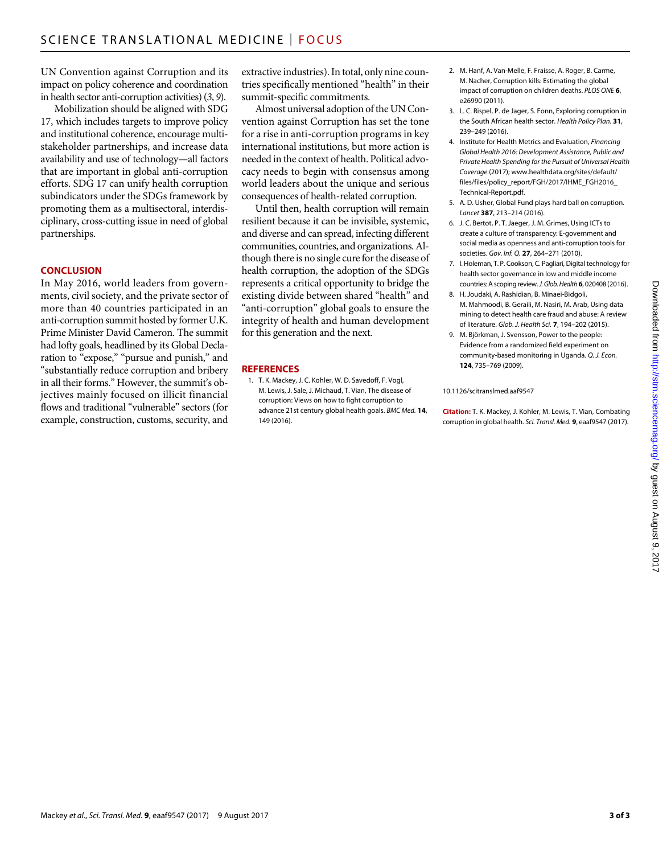UN Convention against Corruption and its impact on policy coherence and coordination in health sector anti-corruption activities) (*3*, *9*).

Mobilization should be aligned with SDG 17, which includes targets to improve policy and institutional coherence, encourage multistakeholder partnerships, and increase data availability and use of technology—all factors that are important in global anti-corruption efforts. SDG 17 can unify health corruption subindicators under the SDGs framework by promoting them as a multisectoral, interdisciplinary, cross-cutting issue in need of global partnerships.

#### **CONCLUSION**

In May 2016, world leaders from governments, civil society, and the private sector of more than 40 countries participated in an anti-corruption summit hosted by former U.K. Prime Minister David Cameron. The summit had lofty goals, headlined by its Global Declaration to "expose," "pursue and punish," and "substantially reduce corruption and bribery in all their forms." However, the summit's objectives mainly focused on illicit financial flows and traditional "vulnerable" sectors (for example, construction, customs, security, and

extractive industries). In total, only nine countries specifically mentioned "health" in their summit-specific commitments.

Almost universal adoption of the UN Convention against Corruption has set the tone for a rise in anti-corruption programs in key international institutions, but more action is needed in the context of health. Political advocacy needs to begin with consensus among world leaders about the unique and serious consequences of health-related corruption.

Until then, health corruption will remain resilient because it can be invisible, systemic, and diverse and can spread, infecting different communities, countries, and organizations. Although there is no single cure for the disease of health corruption, the adoption of the SDGs represents a critical opportunity to bridge the existing divide between shared "health" and "anti-corruption" global goals to ensure the integrity of health and human development for this generation and the next.

#### **REFERENCES**

1. T. K. Mackey, J. C. Kohler, W. D. Savedoff, F. Vogl, M. Lewis, J. Sale, J. Michaud, T. Vian, The disease of corruption: Views on how to fight corruption to advance 21st century global health goals. *BMC Med.* **14**, 149 (2016).

- 2. M. Hanf, A. Van-Melle, F. Fraisse, A. Roger, B. Carme, M. Nacher, Corruption kills: Estimating the global impact of corruption on children deaths. *PLOS ONE* **6**, e26990 (2011).
- 3. L. C. Rispel, P. de Jager, S. Fonn, Exploring corruption in the South African health sector. *Health Policy Plan.* **31**, 239–249 (2016).
- 4. Institute for Health Metrics and Evaluation, *Financing Global Health 2016: Development Assistance, Public and Private Health Spending for the Pursuit of Universal Health Coverage* (2017); [www.healthdata.org/sites/default/](http://www.healthdata.org/sites/default/files/files/policy_report/FGH/2017/IHME_FGH2016_Technical-Report.pdf) [files/files/policy\\_report/FGH/2017/IHME\\_FGH2016\\_](http://www.healthdata.org/sites/default/files/files/policy_report/FGH/2017/IHME_FGH2016_Technical-Report.pdf) [Technical-Report.pdf.](http://www.healthdata.org/sites/default/files/files/policy_report/FGH/2017/IHME_FGH2016_Technical-Report.pdf)
- 5. A. D. Usher, Global Fund plays hard ball on corruption. *Lancet* **387**, 213–214 (2016).
- 6. J. C. Bertot, P. T. Jaeger, J. M. Grimes, Using ICTs to create a culture of transparency: E-government and social media as openness and anti-corruption tools for societies. *Gov. Inf. Q.* **27**, 264–271 (2010).
- 7. I. Holeman, T. P. Cookson, C. Pagliari, Digital technology for health sector governance in low and middle income countries: A scoping review. *J. Glob. Health* **6**, 020408 (2016).
- 8. H. Joudaki, A. Rashidian, B. Minaei-Bidgoli, M. Mahmoodi, B. Geraili, M. Nasiri, M. Arab, Using data mining to detect health care fraud and abuse: A review of literature. *Glob. J. Health Sci.* **7**, 194–202 (2015).
- 9. M. Björkman, J. Svensson, Power to the people: Evidence from a randomized field experiment on community-based monitoring in Uganda. *Q. J. Econ.* **124**, 735–769 (2009).

#### 10.1126/scitranslmed.aaf9547

**Citation:** T. K. Mackey, J. Kohler, M. Lewis, T. Vian, Combating corruption in global health. *Sci. Transl. Med.* **9**, eaaf9547 (2017).